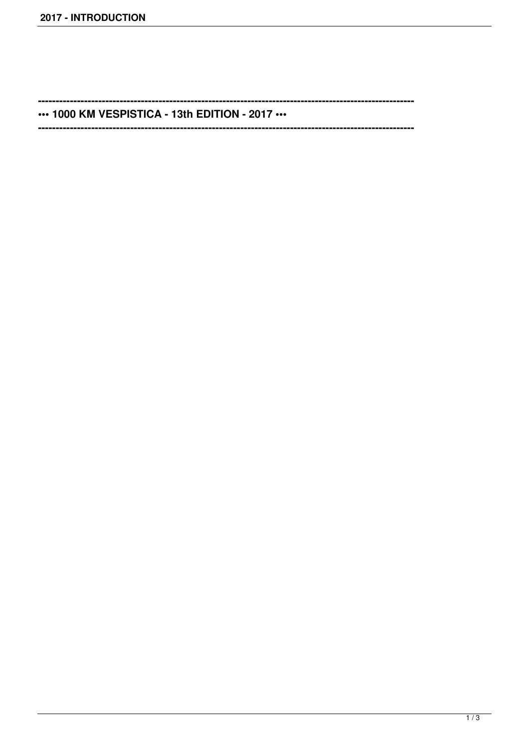$\sim$ 

\*\*\* 1000 KM VESPISTICA - 13th EDITION - 2017 \*\*\*

------------------------------------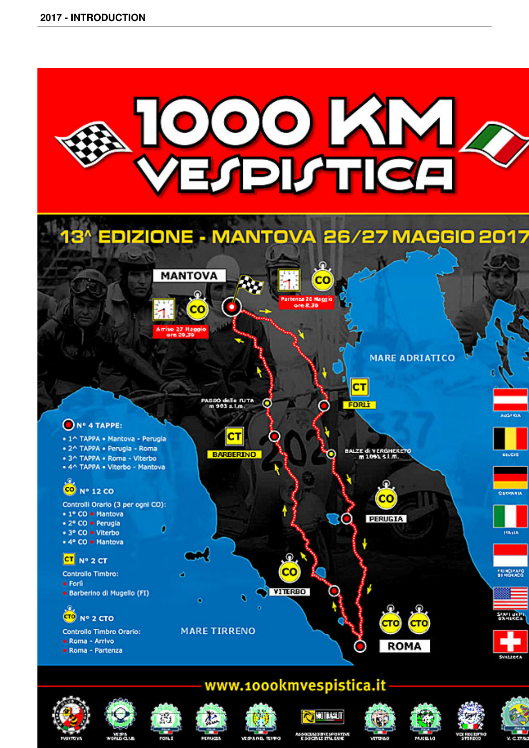















2 / 3